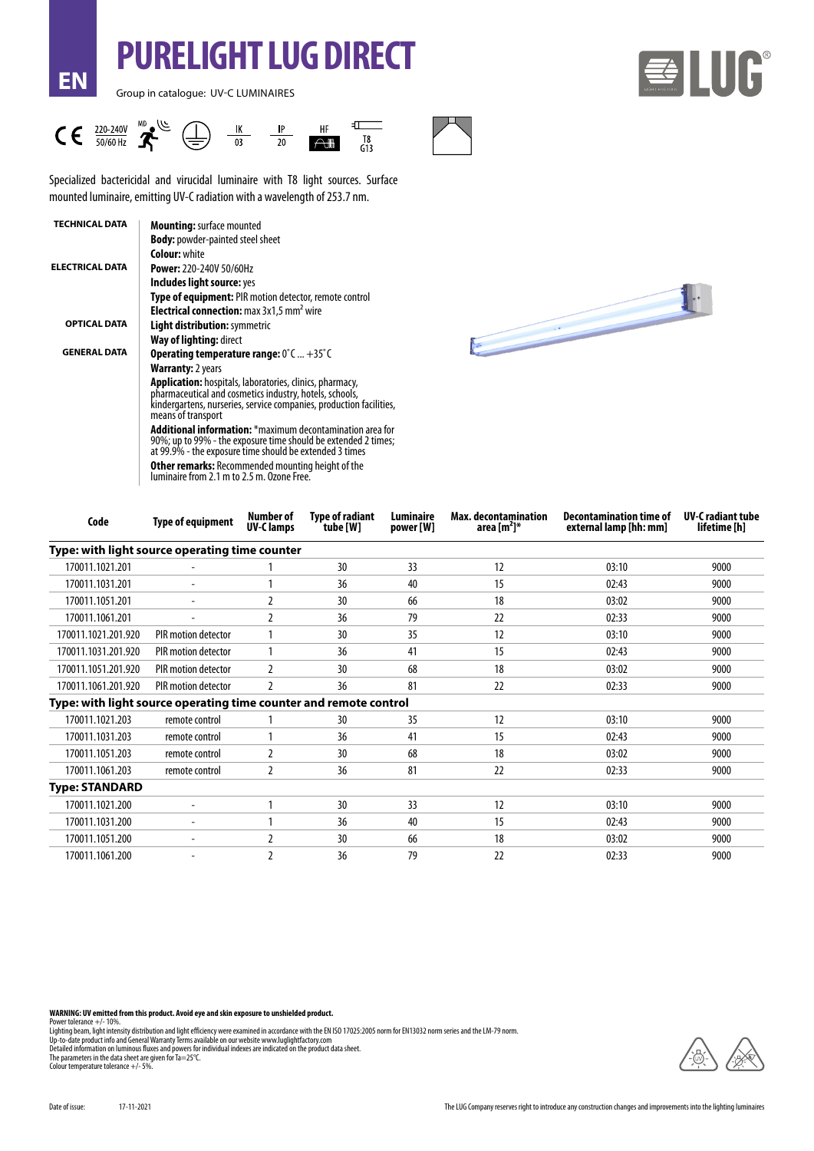# **PURELIGHT LUG DIRECT**

Group in catalogue: UV-C LUMINAIRES

**EN**





Specialized bactericidal and virucidal luminaire with T8 light sources. Surface mounted luminaire, emitting UV-C radiation with a wavelength of 253.7 nm.

| <b>TECHNICAL DATA</b>  | <b>Mounting: surface mounted</b>                                                                                                                                                                                        |
|------------------------|-------------------------------------------------------------------------------------------------------------------------------------------------------------------------------------------------------------------------|
|                        | <b>Body:</b> powder-painted steel sheet                                                                                                                                                                                 |
|                        | <b>Colour: white</b>                                                                                                                                                                                                    |
| <b>ELECTRICAL DATA</b> | <b>Power: 220-240V 50/60Hz</b>                                                                                                                                                                                          |
|                        | Includes light source: yes                                                                                                                                                                                              |
|                        | <b>Type of equipment:</b> PIR motion detector, remote control                                                                                                                                                           |
|                        | <b>Electrical connection:</b> max 3x1,5 mm <sup>2</sup> wire                                                                                                                                                            |
| <b>OPTICAL DATA</b>    | <b>Light distribution: symmetric</b>                                                                                                                                                                                    |
|                        | Way of lighting: direct                                                                                                                                                                                                 |
| <b>GENERAL DATA</b>    | <b>Operating temperature range:</b> $0^{\circ}$ C  +35 $^{\circ}$ C                                                                                                                                                     |
|                        | <b>Warranty:</b> 2 years                                                                                                                                                                                                |
|                        | <b>Application:</b> hospitals, laboratories, clinics, pharmacy,<br>pharmaceutical and cosmetics industry, hotels, schools,<br>kindergartens, nurseries, service companies, production facilities,<br>means of transport |
|                        | <b>Additional information:</b> *maximum decontamination area for<br>90%; up to 99% - the exposure time should be extended 2 times;<br>at 99.9% - the exposure time should be extended 3 times                           |
|                        | <b>Other remarks:</b> Recommended mounting height of the<br>luminaire from 2.1 m to 2.5 m. Ozone Free.                                                                                                                  |



| Code                                                              | <b>Type of equipment</b> | <b>Number of</b><br><b>UV-Clamps</b> | <b>Type of radiant</b><br>tube [W] | Luminaire<br>power [W] | <b>Max. decontamination</b><br>area $[m^2]^*$ | <b>Decontamination time of</b><br>external lamp [hh: mm] | <b>UV-C</b> radiant tube<br>lifetime [h] |
|-------------------------------------------------------------------|--------------------------|--------------------------------------|------------------------------------|------------------------|-----------------------------------------------|----------------------------------------------------------|------------------------------------------|
| Type: with light source operating time counter                    |                          |                                      |                                    |                        |                                               |                                                          |                                          |
| 170011.1021.201                                                   |                          |                                      | 30                                 | 33                     | 12                                            | 03:10                                                    | 9000                                     |
| 170011.1031.201                                                   | ٠                        |                                      | 36                                 | 40                     | 15                                            | 02:43                                                    | 9000                                     |
| 170011.1051.201                                                   |                          |                                      | 30                                 | 66                     | 18                                            | 03:02                                                    | 9000                                     |
| 170011.1061.201                                                   | ۰                        |                                      | 36                                 | 79                     | 22                                            | 02:33                                                    | 9000                                     |
| 170011.1021.201.920                                               | PIR motion detector      |                                      | 30                                 | 35                     | 12                                            | 03:10                                                    | 9000                                     |
| 170011.1031.201.920                                               | PIR motion detector      |                                      | 36                                 | 41                     | 15                                            | 02:43                                                    | 9000                                     |
| 170011.1051.201.920                                               | PIR motion detector      | 2                                    | 30                                 | 68                     | 18                                            | 03:02                                                    | 9000                                     |
| 170011.1061.201.920                                               | PIR motion detector      | 2                                    | 36                                 | 81                     | 22                                            | 02:33                                                    | 9000                                     |
| Type: with light source operating time counter and remote control |                          |                                      |                                    |                        |                                               |                                                          |                                          |
| 170011.1021.203                                                   | remote control           |                                      | 30                                 | 35                     | 12                                            | 03:10                                                    | 9000                                     |
| 170011.1031.203                                                   | remote control           |                                      | 36                                 | 41                     | 15                                            | 02:43                                                    | 9000                                     |
| 170011.1051.203                                                   | remote control           | $\overline{2}$                       | 30                                 | 68                     | 18                                            | 03:02                                                    | 9000                                     |
| 170011.1061.203                                                   | remote control           | 2                                    | 36                                 | 81                     | 22                                            | 02:33                                                    | 9000                                     |
| <b>Type: STANDARD</b>                                             |                          |                                      |                                    |                        |                                               |                                                          |                                          |
| 170011.1021.200                                                   | ٠                        |                                      | 30                                 | 33                     | 12                                            | 03:10                                                    | 9000                                     |
| 170011.1031.200                                                   | ۰                        |                                      | 36                                 | 40                     | 15                                            | 02:43                                                    | 9000                                     |
| 170011.1051.200                                                   |                          |                                      | 30                                 | 66                     | 18                                            | 03:02                                                    | 9000                                     |
| 170011.1061.200                                                   |                          | $\mathfrak z$                        | 36                                 | 79                     | 22                                            | 02:33                                                    | 9000                                     |
|                                                                   |                          |                                      |                                    |                        |                                               |                                                          |                                          |

**WARNING: UV emitted from this product. Avoid eye and skin exposure to unshielded product.**

Power tolerance +/- 10%.<br>Lighting beam, light intensity distribution and light efficiency were examined in accordance with the EN ISO 17025:2005 norm for EN13032 norm series and the LM-79 norm.<br>Lighting beam, light intensi

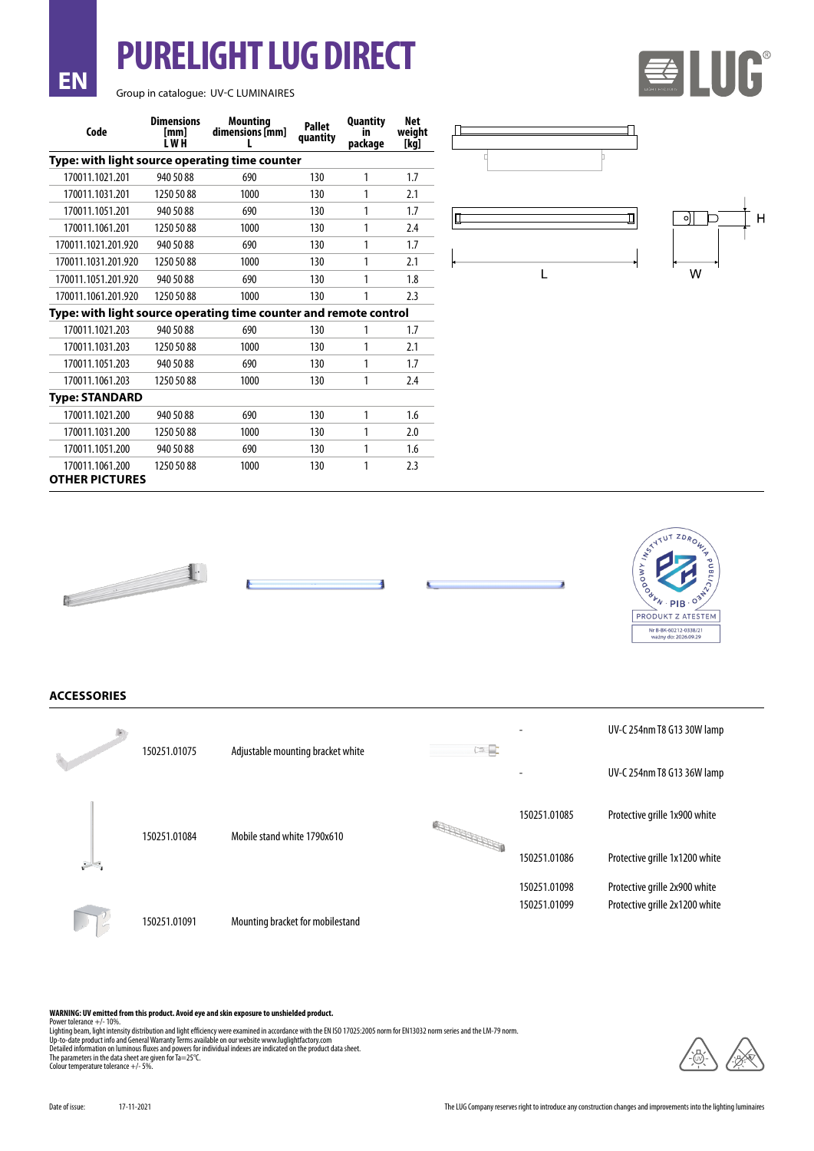### Group in catalogue: UV-C LUMINAIRES

**EN**

**PURELIGHT LUG DIRECT**

| Code                                           | <b>Dimensions</b><br>[mm]<br>I WH                                 | Mountina<br>dimensions [mm] | <b>Pallet</b><br>quantity | <b>Quantity</b><br>ın<br>package | Net<br>weight<br>[kg] |  |  |  |
|------------------------------------------------|-------------------------------------------------------------------|-----------------------------|---------------------------|----------------------------------|-----------------------|--|--|--|
| Type: with light source operating time counter |                                                                   |                             |                           |                                  |                       |  |  |  |
| 170011.1021.201                                | 940 50 88                                                         | 690                         | 130                       | 1                                | 1.7                   |  |  |  |
| 170011.1031.201                                | 1250 50 88                                                        | 1000                        | 130                       | 1                                | 2.1                   |  |  |  |
| 170011.1051.201                                | 940 50 88                                                         | 690                         | 130                       | 1                                | 1.7                   |  |  |  |
| 170011.1061.201                                | 1250 50 88                                                        | 1000                        | 130                       | 1                                | 2.4                   |  |  |  |
| 170011.1021.201.920                            | 940 50 88                                                         | 690                         | 130                       | 1                                | 1.7                   |  |  |  |
| 170011.1031.201.920                            | 1250 50 88                                                        | 1000                        | 130                       | 1                                | 2.1                   |  |  |  |
| 170011.1051.201.920                            | 940 50 88                                                         | 690                         | 130                       | 1                                | 1.8                   |  |  |  |
| 170011.1061.201.920                            | 1250 50 88                                                        | 1000                        | 130                       | 1                                | 2.3                   |  |  |  |
|                                                | Type: with light source operating time counter and remote control |                             |                           |                                  |                       |  |  |  |
| 170011.1021.203                                | 940 50 88                                                         | 690                         | 130                       | 1                                | 1.7                   |  |  |  |
| 170011.1031.203                                | 1250 50 88                                                        | 1000                        | 130                       | 1                                | 2.1                   |  |  |  |
| 170011.1051.203                                | 940 50 88                                                         | 690                         | 130                       | 1                                | 1.7                   |  |  |  |
| 170011.1061.203                                | 1250 50 88                                                        | 1000                        | 130                       | 1                                | 2.4                   |  |  |  |
| <b>Type: STANDARD</b>                          |                                                                   |                             |                           |                                  |                       |  |  |  |
| 170011.1021.200                                | 940 50 88                                                         | 690                         | 130                       | 1                                | 1.6                   |  |  |  |
| 170011.1031.200                                | 1250 50 88                                                        | 1000                        | 130                       | 1                                | 2.0                   |  |  |  |
| 170011.1051.200                                | 940 50 88                                                         | 690                         | 130                       | 1                                | 1.6                   |  |  |  |
| 170011.1061.200<br><b>OTHER PICTURES</b>       | 1250 50 88                                                        | 1000                        | 130                       | 1                                | 2.3                   |  |  |  |



匝



ELUG







![](_page_1_Picture_7.jpeg)

**ACCESSORIES**

|          | 150251.01075 | Adjustable mounting bracket white | $\Box$ |              | UV-C 254nm T8 G13 30W lamp     |
|----------|--------------|-----------------------------------|--------|--------------|--------------------------------|
|          |              |                                   |        |              | UV-C 254nm T8 G13 36W lamp     |
|          | 150251.01084 | Mobile stand white 1790x610       |        | 150251.01085 | Protective grille 1x900 white  |
| والمستنق |              |                                   |        | 150251.01086 | Protective grille 1x1200 white |
|          |              |                                   |        | 150251.01098 | Protective grille 2x900 white  |
|          | 150251.01091 | Mounting bracket for mobilestand  |        | 150251.01099 | Protective grille 2x1200 white |

#### **WARNING: UV emitted from this product. Avoid eye and skin exposure to unshielded product.**

Power tolerance +/- 10%.<br>Lighting beam, light intensity distribution and light efficiency were examined in accordance with the EN ISO 17025:2005 norm for EN13032 norm series and the LM-79 norm.<br>Lighting beam, light intensi

![](_page_1_Picture_15.jpeg)